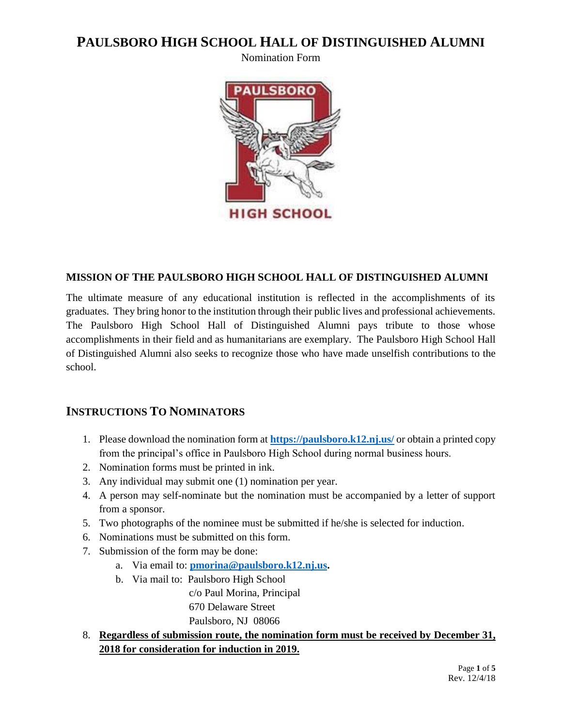Nomination Form



#### **MISSION OF THE PAULSBORO HIGH SCHOOL HALL OF DISTINGUISHED ALUMNI**

The ultimate measure of any educational institution is reflected in the accomplishments of its graduates. They bring honor to the institution through their public lives and professional achievements. The Paulsboro High School Hall of Distinguished Alumni pays tribute to those whose accomplishments in their field and as humanitarians are exemplary. The Paulsboro High School Hall of Distinguished Alumni also seeks to recognize those who have made unselfish contributions to the school.

### **INSTRUCTIONS TO NOMINATORS**

- 1. Please download the nomination form at **<https://paulsboro.k12.nj.us/>** or obtain a printed copy from the principal's office in Paulsboro High School during normal business hours.
- 2. Nomination forms must be printed in ink.
- 3. Any individual may submit one (1) nomination per year.
- 4. A person may self-nominate but the nomination must be accompanied by a letter of support from a sponsor.
- 5. Two photographs of the nominee must be submitted if he/she is selected for induction.
- 6. Nominations must be submitted on this form.
- 7. Submission of the form may be done:
	- a. Via email to: **[pmorina@paulsboro.k12.nj.us.](mailto:pmorina@paulsboro.k12.nj.us)**
	- b. Via mail to: Paulsboro High School

 c/o Paul Morina, Principal 670 Delaware Street Paulsboro, NJ 08066

8. **Regardless of submission route, the nomination form must be received by December 31, 2018 for consideration for induction in 2019.**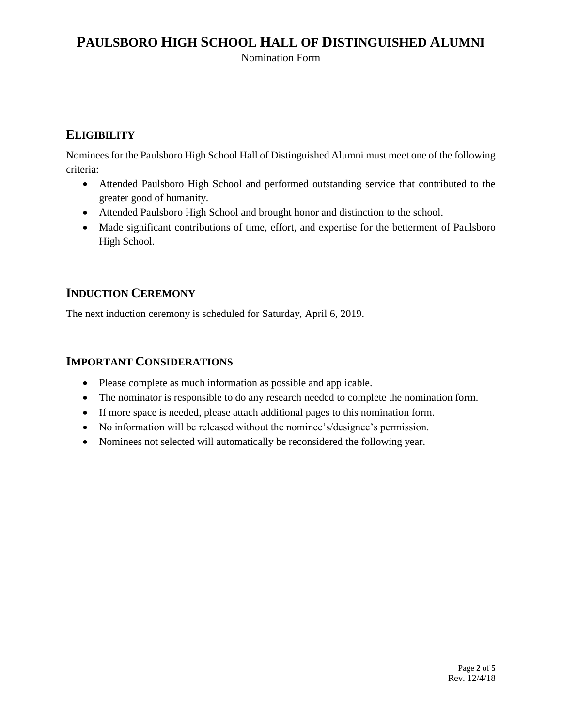Nomination Form

### **ELIGIBILITY**

Nominees for the Paulsboro High School Hall of Distinguished Alumni must meet one of the following criteria:

- Attended Paulsboro High School and performed outstanding service that contributed to the greater good of humanity.
- Attended Paulsboro High School and brought honor and distinction to the school.
- Made significant contributions of time, effort, and expertise for the betterment of Paulsboro High School.

### **INDUCTION CEREMONY**

The next induction ceremony is scheduled for Saturday, April 6, 2019.

#### **IMPORTANT CONSIDERATIONS**

- Please complete as much information as possible and applicable.
- The nominator is responsible to do any research needed to complete the nomination form.
- If more space is needed, please attach additional pages to this nomination form.
- No information will be released without the nominee's/designee's permission.
- Nominees not selected will automatically be reconsidered the following year.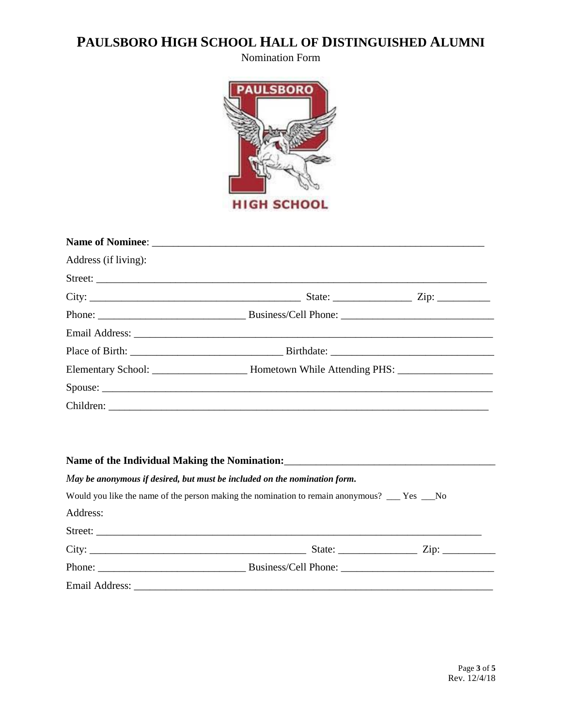Nomination Form



| Address (if living): |         |  |
|----------------------|---------|--|
|                      |         |  |
|                      |         |  |
|                      |         |  |
|                      |         |  |
|                      |         |  |
|                      |         |  |
|                      | Spouse: |  |
|                      |         |  |

| May be anonymous if desired, but must be included on the nomination form.                           |  |                                               |
|-----------------------------------------------------------------------------------------------------|--|-----------------------------------------------|
| Would you like the name of the person making the nomination to remain anonymous? _____ Yes _____ No |  |                                               |
| Address:                                                                                            |  |                                               |
| Street:                                                                                             |  |                                               |
|                                                                                                     |  | State: $\frac{\text{Zip: } }{ \text{Zip: } }$ |
|                                                                                                     |  |                                               |
|                                                                                                     |  |                                               |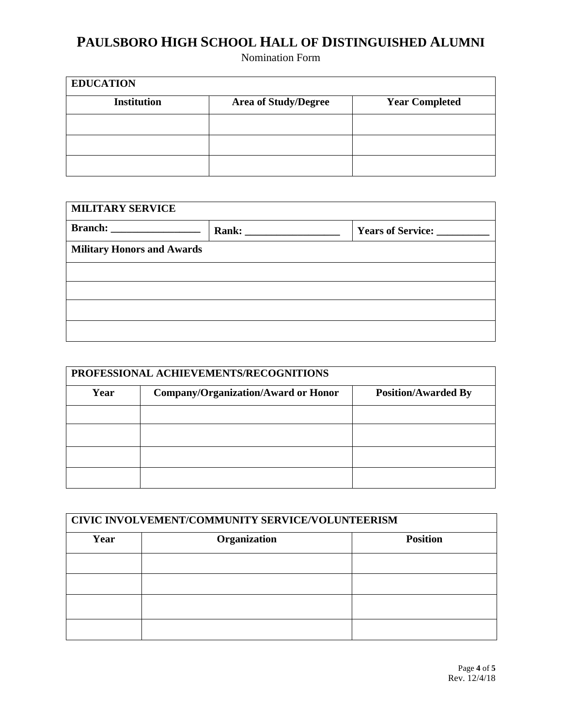Nomination Form

| <b>EDUCATION</b>   |                             |                       |
|--------------------|-----------------------------|-----------------------|
| <b>Institution</b> | <b>Area of Study/Degree</b> | <b>Year Completed</b> |
|                    |                             |                       |
|                    |                             |                       |
|                    |                             |                       |

| <b>MILITARY SERVICE</b>           |  |                             |  |
|-----------------------------------|--|-----------------------------|--|
|                                   |  | Years of Service: _________ |  |
| <b>Military Honors and Awards</b> |  |                             |  |
|                                   |  |                             |  |
|                                   |  |                             |  |
|                                   |  |                             |  |
|                                   |  |                             |  |

| PROFESSIONAL ACHIEVEMENTS/RECOGNITIONS |                                            |                            |
|----------------------------------------|--------------------------------------------|----------------------------|
| Year                                   | <b>Company/Organization/Award or Honor</b> | <b>Position/Awarded By</b> |
|                                        |                                            |                            |
|                                        |                                            |                            |
|                                        |                                            |                            |
|                                        |                                            |                            |

| CIVIC INVOLVEMENT/COMMUNITY SERVICE/VOLUNTEERISM |              |                 |
|--------------------------------------------------|--------------|-----------------|
| Year                                             | Organization | <b>Position</b> |
|                                                  |              |                 |
|                                                  |              |                 |
|                                                  |              |                 |
|                                                  |              |                 |